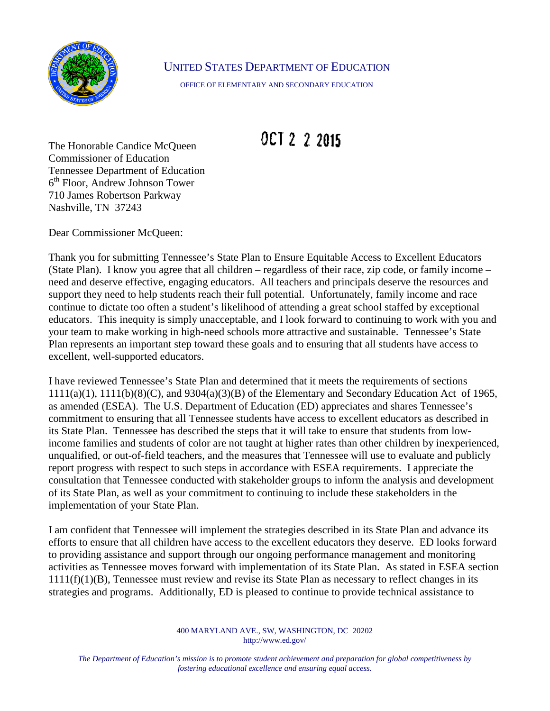

## UNITED STATES DEPARTMENT OF EDUCATION

OFFICE OF ELEMENTARY AND SECONDARY EDUCATION

## OCT 2 2 2015

The Honorable Candice McQueen Commissioner of Education Tennessee Department of Education 6th Floor, Andrew Johnson Tower 710 James Robertson Parkway Nashville, TN 37243

Dear Commissioner McQueen:

Thank you for submitting Tennessee's State Plan to Ensure Equitable Access to Excellent Educators (State Plan). I know you agree that all children – regardless of their race, zip code, or family income – need and deserve effective, engaging educators. All teachers and principals deserve the resources and support they need to help students reach their full potential. Unfortunately, family income and race continue to dictate too often a student's likelihood of attending a great school staffed by exceptional educators. This inequity is simply unacceptable, and I look forward to continuing to work with you and your team to make working in high-need schools more attractive and sustainable. Tennessee's State Plan represents an important step toward these goals and to ensuring that all students have access to excellent, well-supported educators.

I have reviewed Tennessee's State Plan and determined that it meets the requirements of sections 1111(a)(1), 1111(b)(8)(C), and 9304(a)(3)(B) of the Elementary and Secondary Education Act of 1965, as amended (ESEA). The U.S. Department of Education (ED) appreciates and shares Tennessee's commitment to ensuring that all Tennessee students have access to excellent educators as described in its State Plan. Tennessee has described the steps that it will take to ensure that students from lowincome families and students of color are not taught at higher rates than other children by inexperienced, unqualified, or out-of-field teachers, and the measures that Tennessee will use to evaluate and publicly report progress with respect to such steps in accordance with ESEA requirements. I appreciate the consultation that Tennessee conducted with stakeholder groups to inform the analysis and development of its State Plan, as well as your commitment to continuing to include these stakeholders in the implementation of your State Plan.

I am confident that Tennessee will implement the strategies described in its State Plan and advance its efforts to ensure that all children have access to the excellent educators they deserve. ED looks forward to providing assistance and support through our ongoing performance management and monitoring activities as Tennessee moves forward with implementation of its State Plan. As stated in ESEA section 1111(f)(1)(B), Tennessee must review and revise its State Plan as necessary to reflect changes in its strategies and programs. Additionally, ED is pleased to continue to provide technical assistance to

> 400 MARYLAND AVE., SW, WASHINGTON, DC 20202 http://www.ed.gov/

*The Department of Education's mission is to promote student achievement and preparation for global competitiveness by fostering educational excellence and ensuring equal access.*